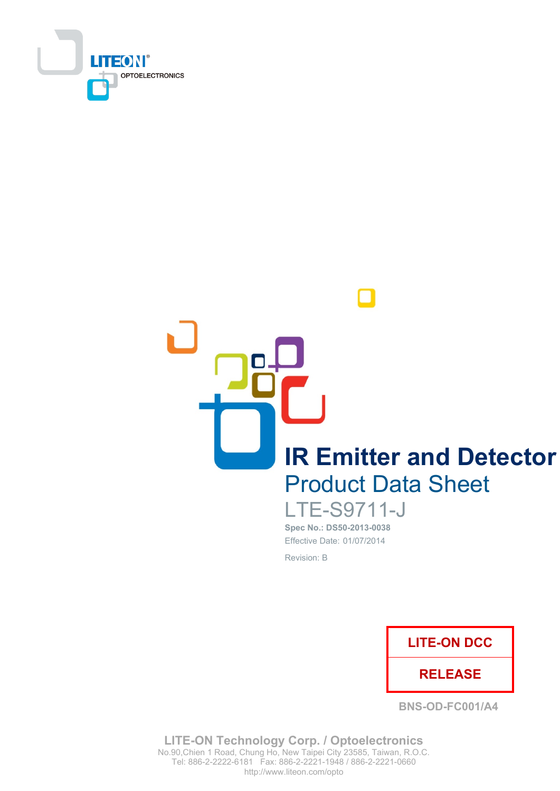

**IR Emitter and Detector Product Data Sheet** 

> **LTE-S9711-J** Spec No.: DS50-2013-0038 Effective Date: 01/07/2014 Revision: B



**BNS-OD-FC001/A4** 

**LITE-ON Technology Corp. / Optoelectronics** No.90, Chien 1 Road, Chung Ho, New Taipei City 23585, Taiwan, R.O.C. Tel: 886-2-2222-6181 Fax: 886-2-2221-1948 / 886-2-2221-0660 http://www.liteon.com/opto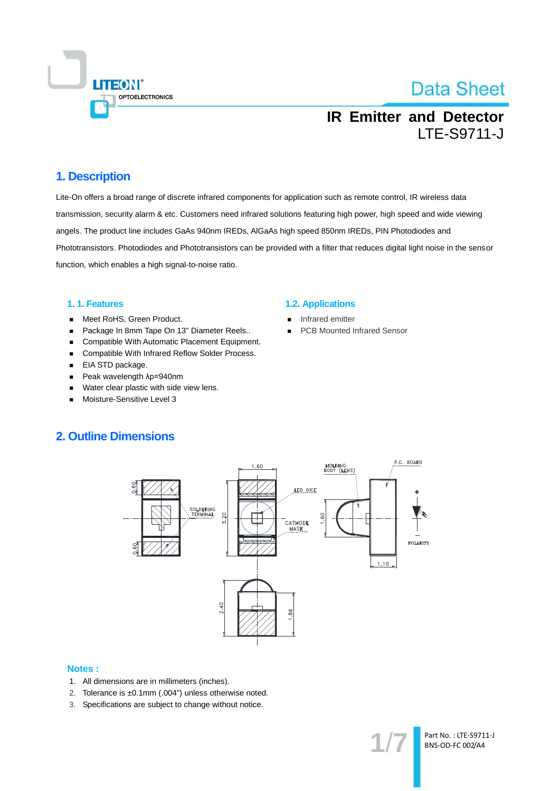

## **IR Emitter and Detector LTE-S9711-J**

### 1. Description

Lite-On offers a broad range of discrete infrared components for application such as remote control, IR wireless data transmission, security alarm & etc. Customers need infrared solutions featuring high power, high speed and wide viewing angels. The product line includes GaAs 940nm IREDs, AlGaAs high speed 850nm IREDs, PIN Photodiodes and Phototransistors. Photodiodes and Phototransistors can be provided with a filter that reduces digital light noise in the sensor function, which enables a high signal-to-noise ratio.

#### 1.1. Features

- Meet RoHS, Green Product.  $\blacksquare$
- Package In 8mm Tape On 13" Diameter Reels..  $\blacksquare$
- Compatible With Automatic Placement Equipment.
- Compatible With Infrared Reflow Solder Process.  $\blacksquare$
- EIA STD package.
- $\blacksquare$ Peak wavelength λp=940nm
- Water clear plastic with side view lens.  $\blacksquare$
- Moisture-Sensitive Level 3

#### **1.2. Applications**

- Infrared emitter
- **PCB Mounted Infrared Sensor**

### **2. Outline Dimensions**



#### **Notes:**

- 1. All dimensions are in millimeters (inches).
- 2. Tolerance is ±0.1mm (.004") unless otherwise noted.
- 3. Specifications are subject to change without notice.

Part No.: LTE-S9711-J BNS-OD-FC 002/A4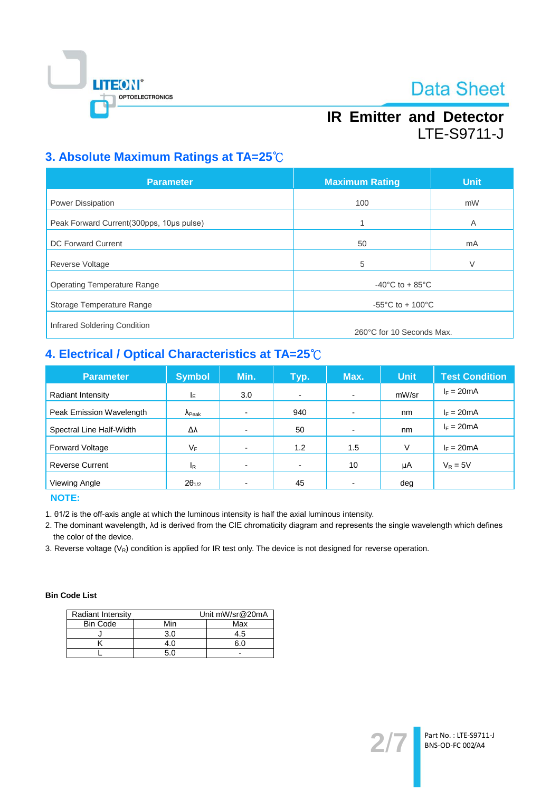

# **IR Emitter and Detector LTE-S9711-J**

### 3. Absolute Maximum Ratings at TA=25°C

| <b>Parameter</b>                         | <b>Maximum Rating</b>                  | <b>Unit</b> |
|------------------------------------------|----------------------------------------|-------------|
| <b>Power Dissipation</b>                 | 100                                    | mW          |
| Peak Forward Current(300pps, 10us pulse) | 1                                      | A           |
| DC Forward Current                       | 50                                     | mA          |
| Reverse Voltage                          | 5                                      | V           |
| <b>Operating Temperature Range</b>       | $-40^{\circ}$ C to + 85 $^{\circ}$ C   |             |
| Storage Temperature Range                | -55 $^{\circ}$ C to + 100 $^{\circ}$ C |             |
| Infrared Soldering Condition             | 260°C for 10 Seconds Max.              |             |

# 4. Electrical / Optical Characteristics at TA=25°C

| <b>Parameter</b>         | <b>Symbol</b>           | Min. | Typ.           | Max.                     | <b>Unit</b> | <b>Test Condition</b> |
|--------------------------|-------------------------|------|----------------|--------------------------|-------------|-----------------------|
| Radiant Intensity        | ΙE                      | 3.0  | $\blacksquare$ | $\overline{\phantom{0}}$ | mW/sr       | $I_F = 20mA$          |
| Peak Emission Wavelength | $\Lambda_{\text{Peak}}$ |      | 940            | $\overline{\phantom{0}}$ | nm          | $I_F = 20mA$          |
| Spectral Line Half-Width | Δλ                      |      | 50             |                          | nm          | $I_F = 20mA$          |
| <b>Forward Voltage</b>   | VF                      |      | 1.2            | 1.5                      | V           | $I_F = 20mA$          |
| <b>Reverse Current</b>   | $I_R$                   |      | $\blacksquare$ | 10                       | μA          | $V_R = 5V$            |
| Viewing Angle            | $2\theta_{1/2}$         |      | 45             |                          | deg         |                       |

**NOTE:** 

1. 01/2 is the off-axis angle at which the luminous intensity is half the axial luminous intensity.

2. The dominant wavelength, Ad is derived from the CIE chromaticity diagram and represents the single wavelength which defines the color of the device.

3. Reverse voltage  $(V_R)$  condition is applied for IR test only. The device is not designed for reverse operation.

#### **Bin Code List**

| Radiant Intensity |     | Unit mW/sr@20mA |  |
|-------------------|-----|-----------------|--|
| <b>Bin Code</b>   | Min | Max             |  |
|                   | 3.0 | 4.5             |  |
|                   |     |                 |  |
|                   |     |                 |  |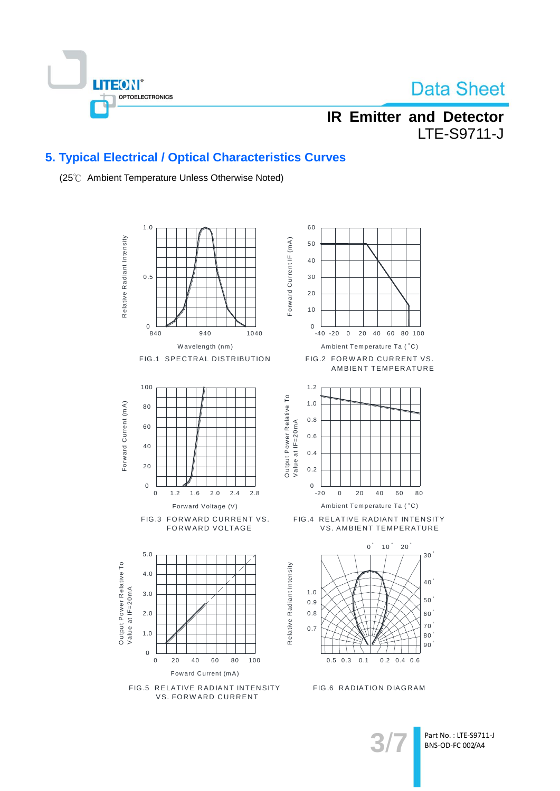

## **IR Emitter and Detector LTE-S9711-J**

### 5. Typical Electrical / Optical Characteristics Curves

(25°C Ambient Temperature Unless Otherwise Noted)



Part No.: LTE-S9711-J BNS-OD-FC 002/A4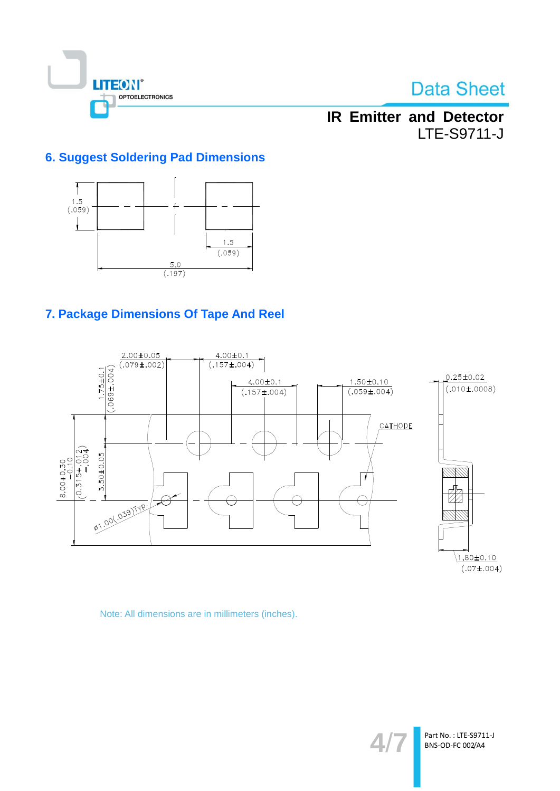

## **IR Emitter and Detector LTE-S9711-J**

### **6. Suggest Soldering Pad Dimensions**



### 7. Package Dimensions Of Tape And Reel



Note: All dimensions are in millimeters (inches).

4.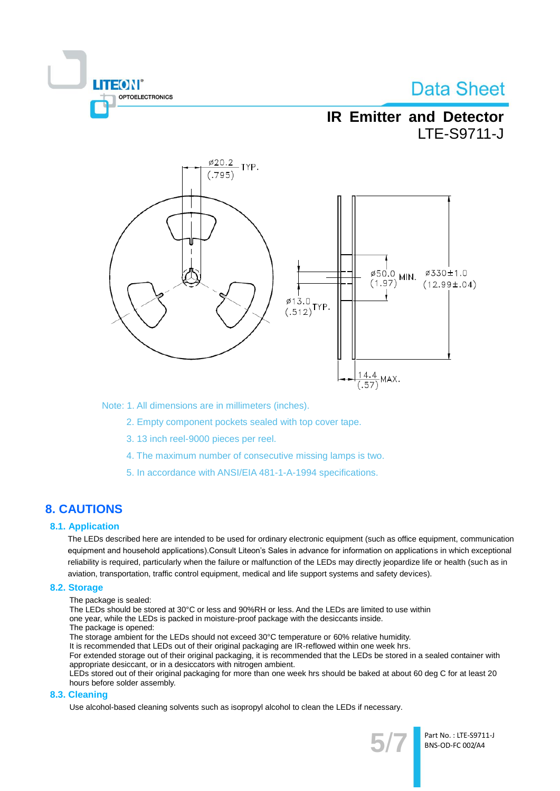

## **IR Emitter and Detector LTE-S9711-J**



Note: 1. All dimensions are in millimeters (inches).

- 2. Empty component pockets sealed with top cover tape.
- 3. 13 inch reel-9000 pieces per reel.
- 4. The maximum number of consecutive missing lamps is two.
- 5. In accordance with ANSI/EIA 481-1-A-1994 specifications.

### **8. CAUTIONS**

#### **8.1. Application**

The LEDs described here are intended to be used for ordinary electronic equipment (such as office equipment, communication equipment and household applications). Consult Liteon's Sales in advance for information on applications in which exceptional reliability is required, particularly when the failure or malfunction of the LEDs may directly jeopardize life or health (such as in aviation, transportation, traffic control equipment, medical and life support systems and safety devices).

#### 8.2. Storage

The package is sealed:

The LEDs should be stored at 30°C or less and 90%RH or less. And the LEDs are limited to use within

- one year, while the LEDs is packed in moisture-proof package with the desiccants inside.
- The package is opened:

The storage ambient for the LEDs should not exceed 30°C temperature or 60% relative humidity.

It is recommended that LEDs out of their original packaging are IR-reflowed within one week hrs.

For extended storage out of their original packaging, it is recommended that the LEDs be stored in a sealed container with appropriate desiccant, or in a desiccators with nitrogen ambient.

LEDs stored out of their original packaging for more than one week hrs should be baked at about 60 deg C for at least 20 hours before solder assembly.

#### 8.3. Cleaning

Use alcohol-based cleaning solvents such as isopropyl alcohol to clean the LEDs if necessary.



Part No.: LTE-S9711-J BNS-OD-FC 002/A4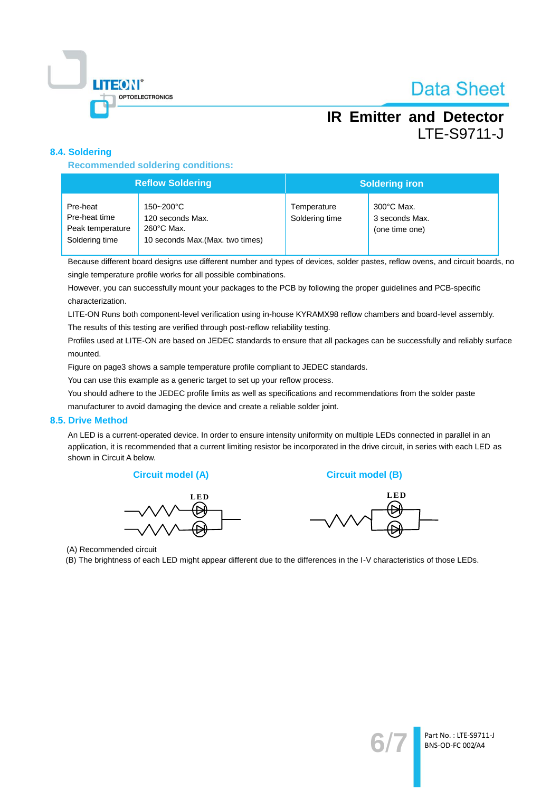

## **IR Emitter and Detector LTE-S9711-J**

#### 8.4. Soldering

**Recommended soldering conditions:** 

| <b>Reflow Soldering</b>                                         |                                                                                           | <b>Soldering iron</b>         |                                                |
|-----------------------------------------------------------------|-------------------------------------------------------------------------------------------|-------------------------------|------------------------------------------------|
| Pre-heat<br>Pre-heat time<br>Peak temperature<br>Soldering time | 150~200°C<br>120 seconds Max.<br>$260^{\circ}$ C Max.<br>10 seconds Max. (Max. two times) | Temperature<br>Soldering time | 300°C Max.<br>3 seconds Max.<br>(one time one) |

Because different board designs use different number and types of devices, solder pastes, reflow ovens, and circuit boards, no single temperature profile works for all possible combinations.

However, you can successfully mount your packages to the PCB by following the proper guidelines and PCB-specific characterization.

LITE-ON Runs both component-level verification using in-house KYRAMX98 reflow chambers and board-level assembly.

The results of this testing are verified through post-reflow reliability testing.

Profiles used at LITE-ON are based on JEDEC standards to ensure that all packages can be successfully and reliably surface mounted.

Figure on page3 shows a sample temperature profile compliant to JEDEC standards.

You can use this example as a generic target to set up your reflow process.

You should adhere to the JEDEC profile limits as well as specifications and recommendations from the solder paste manufacturer to avoid damaging the device and create a reliable solder joint.

#### 8.5. Drive Method

An LED is a current-operated device. In order to ensure intensity uniformity on multiple LEDs connected in parallel in an application, it is recommended that a current limiting resistor be incorporated in the drive circuit, in series with each LED as shown in Circuit A below.





**Circuit model (B)** 



(A) Recommended circuit

(B) The brightness of each LED might appear different due to the differences in the I-V characteristics of those LEDs.